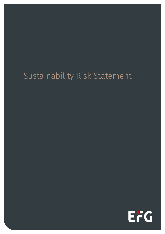# Sustainability Risk Statement

EFG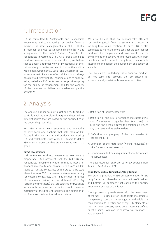### 1. Introduction

EFG is committed to Sustainable and Responsible Investments and to supporting sustainable financial markets. The Asset Management arm of EFG, EFGAM is member of Swiss Sustainable Finance (SSF) and a signatory to the United Nations Principles for Responsible Investment (PRI). As a group aiming to produce financial returns for our clients, we believe that to obtain a rounded view of investments, of their risks and opportunities we need to look at them with a wide lens; Environmental, Social and Governance (ESG) issues are part of such an effort. While it is not always possible to directly link ESG considerations to financial value, we believe ESG performance can provide a proxy for the quality of management and for the capacity of the investee to deliver sustainable competitive advantage.

## 2. Analysis

The analysis applied to multi-asset and multi-product portfolio such as the discretionary mandates follows different routes that are based on the specificities of the underlying securities.

EFG ESG analysis team structures and maintains bespoke tools and analysis that help monitor ESG factors in the investments and products managed by EFG and collaborates with other EFG teams to define ESG analysis processes that are consistent across the group.

### Direct Investments

With reference to direct investments EFG owns a proprietary ESG assessment tool, the GRIP1 (Global Responsible Investment Platform) that is based on financial materiality and allows us to assign an ESG rating to invested companies with a 0% to 100% scale where the weak ESG companies receive a lower rating. For covered companies, GRIP may include hundreds of datapoints divided across different KPIs (Key Performance Indicators), that are selected and weighted in line with our view on the sector specific financial materiality of the different industries. The definition of our framework follows the below structure.

We also believe that an economically efficient, sustainable global financial system is a necessity for long-term value creation. As such EFG is also committed to more and more consider the externalities produced by companies and investments on the environment and society. An improved control in both directions will reward long-term, responsible investment and benefit the environment and society as a whole.

The investments underlying these financial products do not take into account the EU criteria for environmentally sustainable economic activities.

- i. Definition of industries/sectors.
- ii. Definition of the Key Performance Indicators (KPIs) and of a scheme to organise them (KPIs tree). The KPIs and the scheme cover the relations between any company and its stakeholders.
- iii. Definition and grouping of the data needed to assess the KPIs.
- iv. Definition of the materiality (weight, relevance) of KPIs for each industry/sector.
- v. Definition of additional requirement specific for each industry/sector.

The data used for GRIP are currently sourced from Refinitiv, RepRisk and CDP.

### Third Party Mutual Funds (Long Only Funds)

EFG owns a proprietary ESG assessment tool for 3rd party funds that is based on a combination of top down and bottom up approach that consider the specific investment process of the funds.

The top down approach starts with the assessment of the UN PRI (Principle for Responsible investments) transparency score that is used together with additional consideration to identify and verify ESG elements of the investment process, based on an internally defined questionnaire. Exclusion of controversial weapons is also expected.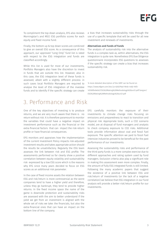To compliment the top down analysis, EFG also reviews Morningstar's and MSCI ESG portfolio scores for each equity and fixed income fund.

Finally, the bottom up & top down scores are combined to give an overall ESG score. As a consequence of this approach, our approved "Long Only" fund list is rated with respect to the ESG integration and funds are classified accordingly.

While this list is used for most of our investments, Portfolio Managers also have the discretion to invest in funds that are outside this list. However, also in this case, the ESG integration level of these funds is assessed, albeit with a slightly different process: in such cases local Portfolio Managers are required to analyse the level of ESG integration of the investee funds and to identify if the specific strategy can create a bias that increases sustainability risks through the use of a specific template that will be used for all new investment and renewals of investments.

### Alternatives and Funds of Funds

The analysis of sustainability risk into the alternative funds is a complex task as, within alternatives, the ESG integration is quite rare. Nonetheless EFG Due Diligence questionnaire incorporates ESG questions to assesses if the specific strategy can create a bias that increases sustainability risk.

1 A more detailed description of the GRIP can be found on [https://www.efgam.com/doc/jcr:620279ad-9b4b-4482-93f2-](https://www.efgam.com/doc/jcr:620279ad-9b4b-4482-93f2-1d7d6fb49e0d/ESG%20Rating%20Methodology%20Jun21.pdf/lang:en/ESG%20Rating%20Methodology%20Jun21.pdf) [1d7d6fb49e0d/ESG%20Rating%20Methodology%20Jun21.pdf/lang:en/](https://www.efgam.com/doc/jcr:620279ad-9b4b-4482-93f2-1d7d6fb49e0d/ESG%20Rating%20Methodology%20Jun21.pdf/lang:en/ESG%20Rating%20Methodology%20Jun21.pdf) [ESG%20Rating%20Methodology%20Jun21.pdf](https://www.efgam.com/doc/jcr:620279ad-9b4b-4482-93f2-1d7d6fb49e0d/ESG%20Rating%20Methodology%20Jun21.pdf/lang:en/ESG%20Rating%20Methodology%20Jun21.pdf)

### 3. Performance and Risk

One of the key objectives of investing is to produce returns, and we are very much aware that there is no return without risk. It is therefore paramount to monitor the variables that could have a negative impact on investment performance such as the financial or the extra-financial factors that can impact the risk-return profile or have financial consequences.

EFG monitors and appraises how the implementation of the current Investment Policy impacts risk-adjusted investment results and takes appropriate action should the results be unsatisfactory. Regularly the ESG team assesses the link between risk and ESG profile. The assessments performed so far clearly show a positive correlation between equity volatility and sustainability risk expressed by a low ESG score which is the reasons why EFG since many years decided to focus on ESG scores as an additional risk parameter.

In the case of fixed income assets the relation between ESG and risk/return is more controversial as the worst companies tend to have a higher yield and therefore, unless they go bankrupt, they tend to provide higher returns. In the fixed income space the name of the game is downside protection and sustainability risks are assessed with the aim to better understand if the yield we get from an investment is aligned with the whole set of risks we take: the financials, but also the extra-financial ones that can have an impact on the bottom line of the company.

EFG carefully monitors the exposure of their investments to climate change risks focusing on emissions and preparedness to react to transition and physical risk. Appropriate tools, such a CO2 scenario model, are at disposal of fund managers and analysts to check company exposure to CO2 risks. Additional tools provide information about coal and fossil fuel exposure. The specific attention we paid to fossil fuel intensive industries proved to be beneficial for the past performance of our investments.

Assessing the sustainability risks and performance of the third party funds is a more complex exercise due to different approaches and rating system used by fund managers. Exclusion criteria also play a significant role in making this assessment even more complex. Finally, the amount of fully ESG integrated funds is still limited. Following the many academic papers that suggest the existence of a positive link between ESG and risk/return of investments (or the lack of a negative correlation) we believe that ESG integration in our fund analysis will provide a better risk/return profile for our investments.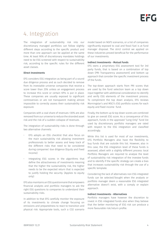### 4. Integration

The integration of sustainability risk into our discretionary managed portfolios can follow slightly different steps according to the specific product and more than one approach can be applied at the same time. At least 90% of discretionary mandates holdings need to be ESG screened with respect to sustainability risk, according to the specific rules for the different asset classes.

### Direct Investments

EFG considers ESG integration as being part of a sound due diligence process and as such decided to remove from its investable universe companies that receive a score lower than 25% unless an engagement process to increase this score or certain KPIs is put in place. These companies are usually exposed to significant controversies or are not transparent making almost impossible to correctly assess their sustainability risk exposure.

Companies with a coal share of revenues >30% are also removed from our universe to reduce the stranded asset risk and the risk of a sudden collapse of revenues.

The integration of sustainability risks is done through two alternative channels:

- EFG adopts an ESG checklist that also focus on the main sustainability risk allowing investment professionals to better assess and keep track of the different risks that need to be considered during companies' due diligence (Equity and Fixed Income)
- Integrating ESG scores in the algorithms that define the attractiveness of investments meaning that the higher the sustainability risk, the higher needs to be the expected return that is expected to justify holding the security. (Applies to equity only)

EFG also maintains an ESG questionnaire that empowers financial analysts and portfolio managers to ask the right ESG questions to companies to understand their sustainability risks.

In addition to that EFG carefully monitor the exposure of its investments to climate change focusing on emissions and preparedness to react to transition and physical risk. Appropriate tools, such a CO2 scenario

model based on NGFS scenarios, or a list of companies significantly exposed to coal and fossil fuel is at fund manager disposal. The strict control we applied on these industries proved beneficial for the performance of our investments.

### Indirect Investments - Mutual Funds

EFG owns a proprietary ESG assessment tool for 3rd party funds, that is based on a combination of top down (PRI Transparency assessment) and bottom up approach that consider the specific investment process of the funds.

The top-down approach starts from PRI scores that are used by the fund selection team as a top down input together with additional consideration to identify and verify ESG elements of the investment process. To compliment the top down analysis, EFG reviews Morningstar's and MSCI's ESG portfolio scores for each equity and fixed income fund.

Finally, the bottom up & top down scores are combined to give an overall ESG score. As a consequence of this approach, Funds in the approved "Long Only" fund list used by discretionary portfolio managers are rated with respect to the ESG integration and classified accordingly.

While this list is used for most of our investments, EFG Portfolio Managers also have the flexibility to buy funds that are outside this list. However, also in this case, the ESG integration level of these funds is assessed, albeit with a slightly different process: local Portfolio Managers are required to analyse the level of sustainability risk integration of the investee funds and to identify if the specific strategy can create a bias that increases sustainability risk through the use of a specific template.

Considering the lack of alternatives non ESG integrated funds can be selected/bought when the analysts or portfolio manager deem a reasonable ESG integrated alternative doesn't exist, with a comply or explain approach.

#### Indirect Investments - Alternatives

Portfolio managers have however the discretion to invest in ESG integrated funds also when they believe that the better monitoring of ESG risk can produce a more favourable risk/return profile.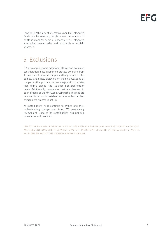Considering the lack of alternatives non ESG integrated funds can be selected/bought when the analysts or portfolio manager deem a reasonable ESG integrated alternative doesn't exist, with a comply or explain approach.

# 5. Exclusions

EFG also applies some additional ethical and exclusion consideration in its investment process excluding from its investment universe companies that produce cluster bombs, landmines, biological or chemical weapons or companies that produce nuclear weapons for countries that didn't signed the Nuclear non-proliferation treaty. Additionally, companies that are deemed to be in breach of the UN Global Compact principles are removed from our investable universe unless a clear engagement process is set-up.

As sustainability risks continue to evolve and their understanding change over time, EFG periodically reviews and updates its sustainability risk policies, procedures and practices.

DUE TO THE LATE PUBLICATION OF THE FINAL RTS REGULATION (FEBRUARY 2021) EFG DECIDED TO OPT-OUT AND DOES NOT CONSIDER THE ADVERSE IMPACTS OF INVESTMENT DECISIONS ON SUSTAINABILITY FACTORS. EFG PLANS TO REVISIT THIS DECISION BEFORE YEAR END.